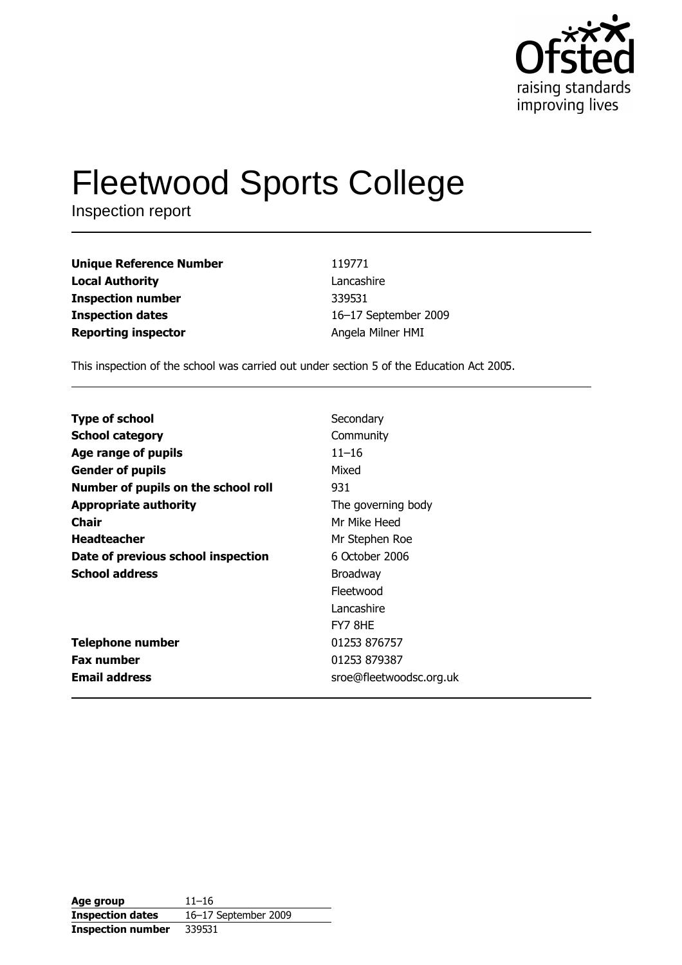

# **Fleetwood Sports College**

Inspection report

| <b>Unique Reference Number</b> |  |
|--------------------------------|--|
| <b>Local Authority</b>         |  |
| <b>Inspection number</b>       |  |
| <b>Inspection dates</b>        |  |
| <b>Reporting inspector</b>     |  |

119771 Lancashire 339531 16-17 September 2009 Angela Milner HMI

This inspection of the school was carried out under section 5 of the Education Act 2005.

| <b>Type of school</b>               | Secondary               |
|-------------------------------------|-------------------------|
| <b>School category</b>              | Community               |
| Age range of pupils                 | $11 - 16$               |
| <b>Gender of pupils</b>             | Mixed                   |
| Number of pupils on the school roll | 931                     |
| <b>Appropriate authority</b>        | The governing body      |
| Chair                               | Mr Mike Heed            |
| <b>Headteacher</b>                  | Mr Stephen Roe          |
| Date of previous school inspection  | 6 October 2006          |
| <b>School address</b>               | <b>Broadway</b>         |
|                                     | Fleetwood               |
|                                     | Lancashire              |
|                                     | FY7 8HE                 |
| <b>Telephone number</b>             | 01253 876757            |
| <b>Fax number</b>                   | 01253 879387            |
| <b>Email address</b>                | sroe@fleetwoodsc.org.uk |

Age group  $11 - 16$ **Inspection dates** 16-17 September 2009 **Inspection number** 339531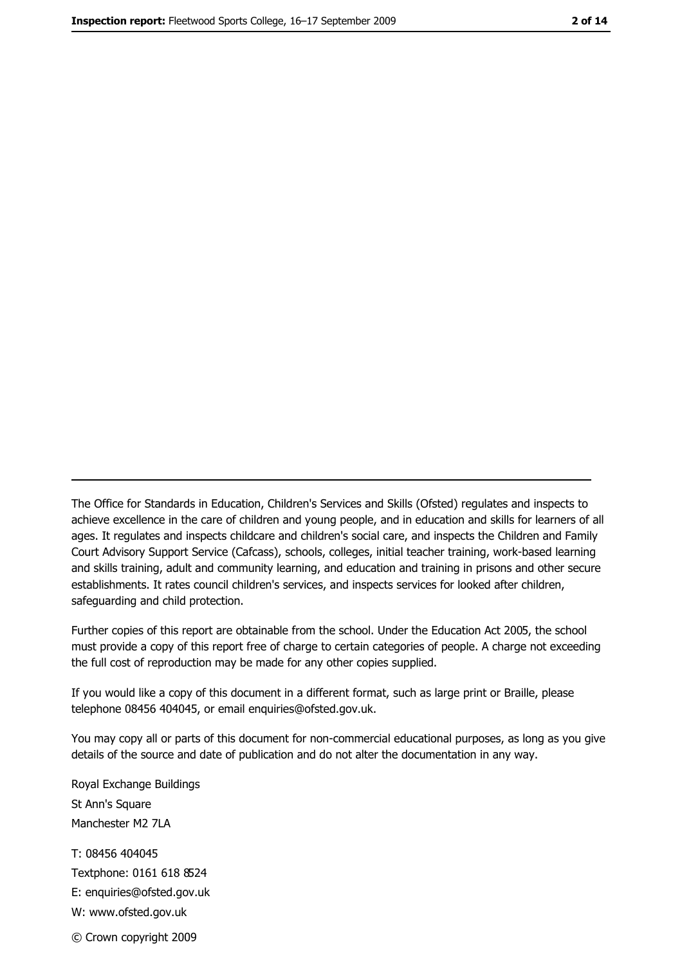The Office for Standards in Education, Children's Services and Skills (Ofsted) regulates and inspects to achieve excellence in the care of children and young people, and in education and skills for learners of all ages. It regulates and inspects childcare and children's social care, and inspects the Children and Family Court Advisory Support Service (Cafcass), schools, colleges, initial teacher training, work-based learning and skills training, adult and community learning, and education and training in prisons and other secure establishments. It rates council children's services, and inspects services for looked after children, safequarding and child protection.

Further copies of this report are obtainable from the school. Under the Education Act 2005, the school must provide a copy of this report free of charge to certain categories of people. A charge not exceeding the full cost of reproduction may be made for any other copies supplied.

If you would like a copy of this document in a different format, such as large print or Braille, please telephone 08456 404045, or email enquiries@ofsted.gov.uk.

You may copy all or parts of this document for non-commercial educational purposes, as long as you give details of the source and date of publication and do not alter the documentation in any way.

Royal Exchange Buildings St Ann's Square Manchester M2 7LA T: 08456 404045 Textphone: 0161 618 8524 E: enquiries@ofsted.gov.uk W: www.ofsted.gov.uk © Crown copyright 2009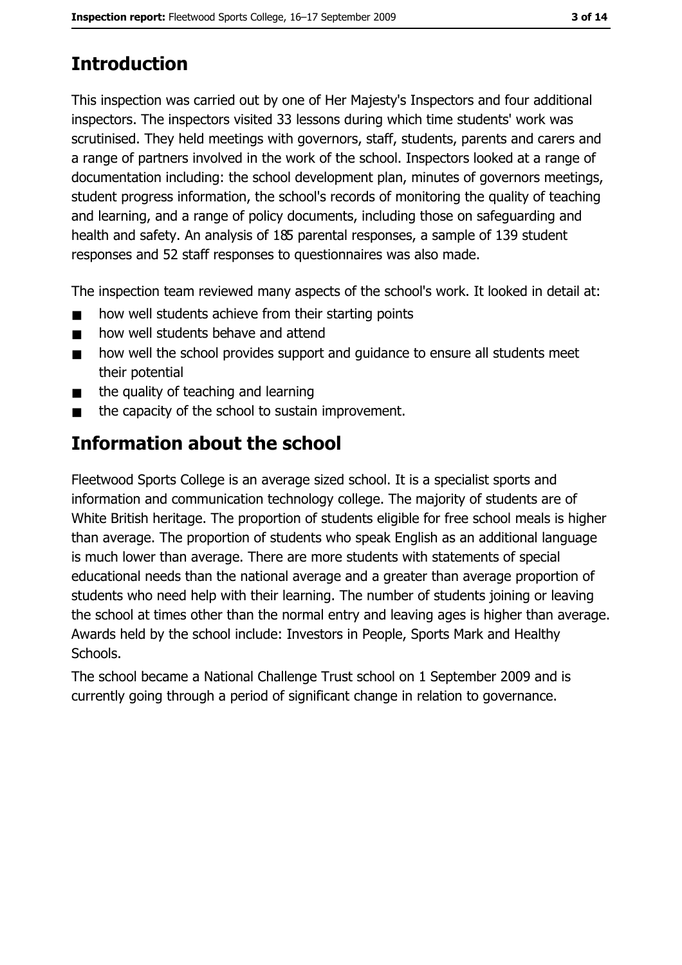# **Introduction**

This inspection was carried out by one of Her Majesty's Inspectors and four additional inspectors. The inspectors visited 33 lessons during which time students' work was scrutinised. They held meetings with governors, staff, students, parents and carers and a range of partners involved in the work of the school. Inspectors looked at a range of documentation including: the school development plan, minutes of governors meetings, student progress information, the school's records of monitoring the quality of teaching and learning, and a range of policy documents, including those on safeguarding and health and safety. An analysis of 185 parental responses, a sample of 139 student responses and 52 staff responses to questionnaires was also made.

The inspection team reviewed many aspects of the school's work. It looked in detail at:

- how well students achieve from their starting points  $\blacksquare$
- how well students behave and attend  $\blacksquare$
- how well the school provides support and quidance to ensure all students meet  $\blacksquare$ their potential
- the quality of teaching and learning  $\blacksquare$
- the capacity of the school to sustain improvement.  $\blacksquare$

# **Information about the school**

Fleetwood Sports College is an average sized school. It is a specialist sports and information and communication technology college. The majority of students are of White British heritage. The proportion of students eligible for free school meals is higher than average. The proportion of students who speak English as an additional language is much lower than average. There are more students with statements of special educational needs than the national average and a greater than average proportion of students who need help with their learning. The number of students joining or leaving the school at times other than the normal entry and leaving ages is higher than average. Awards held by the school include: Investors in People, Sports Mark and Healthy Schools.

The school became a National Challenge Trust school on 1 September 2009 and is currently going through a period of significant change in relation to governance.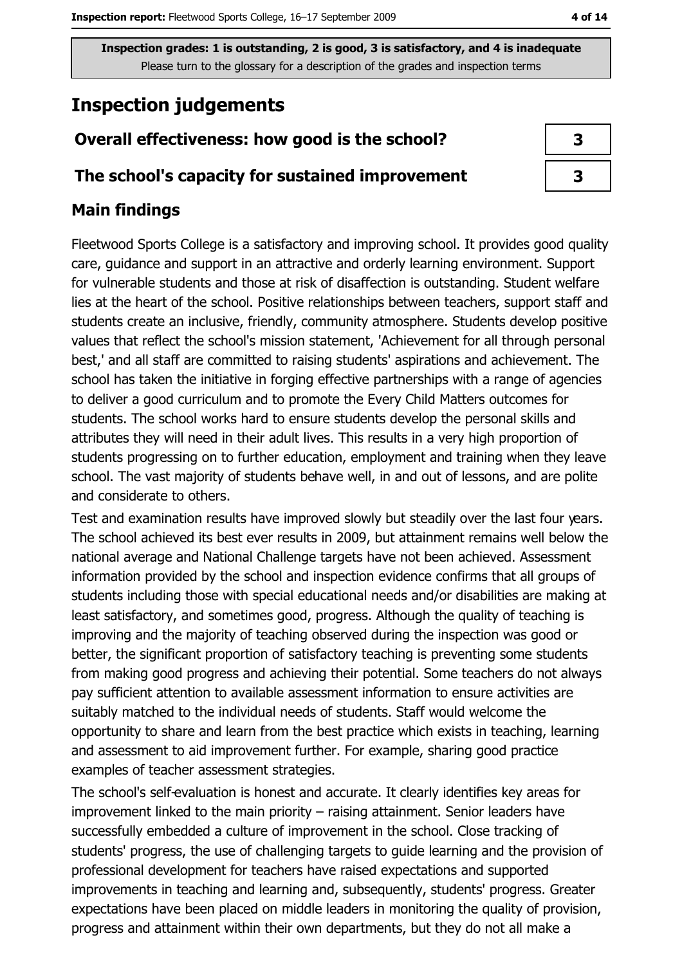# **Inspection judgements**

# Overall effectiveness: how good is the school?

### The school's capacity for sustained improvement

### **Main findings**

Fleetwood Sports College is a satisfactory and improving school. It provides good quality care, guidance and support in an attractive and orderly learning environment. Support for vulnerable students and those at risk of disaffection is outstanding. Student welfare lies at the heart of the school. Positive relationships between teachers, support staff and students create an inclusive, friendly, community atmosphere. Students develop positive values that reflect the school's mission statement, 'Achievement for all through personal best,' and all staff are committed to raising students' aspirations and achievement. The school has taken the initiative in forging effective partnerships with a range of agencies to deliver a good curriculum and to promote the Every Child Matters outcomes for students. The school works hard to ensure students develop the personal skills and attributes they will need in their adult lives. This results in a very high proportion of students progressing on to further education, employment and training when they leave school. The vast majority of students behave well, in and out of lessons, and are polite and considerate to others.

Test and examination results have improved slowly but steadily over the last four years. The school achieved its best ever results in 2009, but attainment remains well below the national average and National Challenge targets have not been achieved. Assessment information provided by the school and inspection evidence confirms that all groups of students including those with special educational needs and/or disabilities are making at least satisfactory, and sometimes good, progress. Although the quality of teaching is improving and the majority of teaching observed during the inspection was good or better, the significant proportion of satisfactory teaching is preventing some students from making good progress and achieving their potential. Some teachers do not always pay sufficient attention to available assessment information to ensure activities are suitably matched to the individual needs of students. Staff would welcome the opportunity to share and learn from the best practice which exists in teaching, learning and assessment to aid improvement further. For example, sharing good practice examples of teacher assessment strategies.

The school's self-evaluation is honest and accurate. It clearly identifies key areas for improvement linked to the main priority – raising attainment. Senior leaders have successfully embedded a culture of improvement in the school. Close tracking of students' progress, the use of challenging targets to quide learning and the provision of professional development for teachers have raised expectations and supported improvements in teaching and learning and, subsequently, students' progress. Greater expectations have been placed on middle leaders in monitoring the quality of provision, progress and attainment within their own departments, but they do not all make a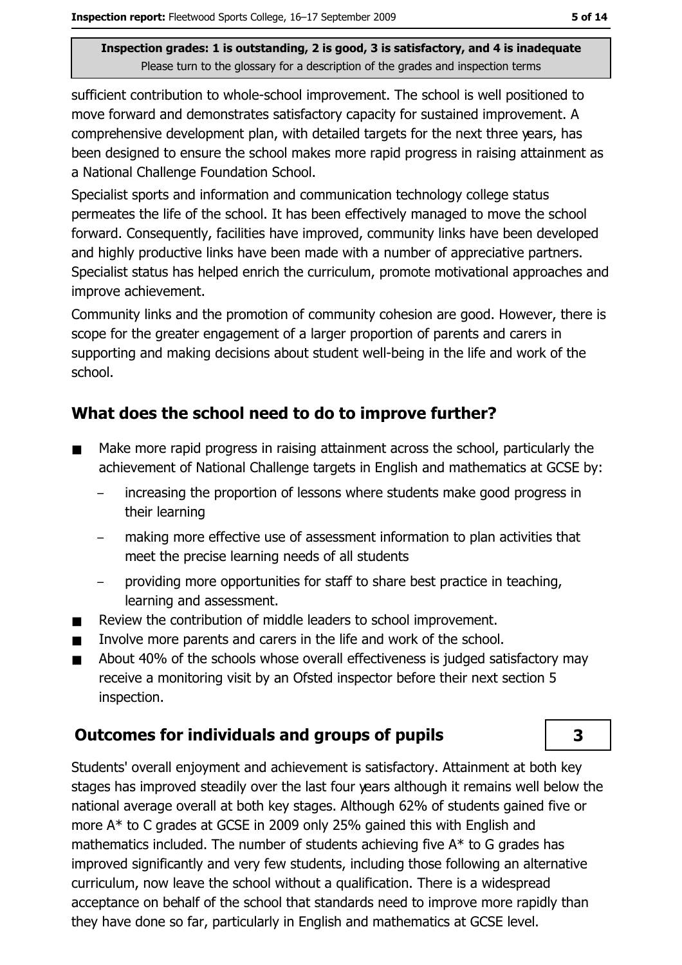sufficient contribution to whole-school improvement. The school is well positioned to move forward and demonstrates satisfactory capacity for sustained improvement. A comprehensive development plan, with detailed targets for the next three years, has been designed to ensure the school makes more rapid progress in raising attainment as a National Challenge Foundation School.

Specialist sports and information and communication technology college status permeates the life of the school. It has been effectively managed to move the school forward. Consequently, facilities have improved, community links have been developed and highly productive links have been made with a number of appreciative partners. Specialist status has helped enrich the curriculum, promote motivational approaches and improve achievement.

Community links and the promotion of community cohesion are good. However, there is scope for the greater engagement of a larger proportion of parents and carers in supporting and making decisions about student well-being in the life and work of the school.

# What does the school need to do to improve further?

- Make more rapid progress in raising attainment across the school, particularly the  $\blacksquare$ achievement of National Challenge targets in English and mathematics at GCSE by:
	- increasing the proportion of lessons where students make good progress in their learning
	- making more effective use of assessment information to plan activities that meet the precise learning needs of all students
	- providing more opportunities for staff to share best practice in teaching, learning and assessment.
- Review the contribution of middle leaders to school improvement.  $\blacksquare$
- Involve more parents and carers in the life and work of the school.  $\blacksquare$
- About 40% of the schools whose overall effectiveness is judged satisfactory may receive a monitoring visit by an Ofsted inspector before their next section 5 inspection.

# **Outcomes for individuals and groups of pupils**

Students' overall enjoyment and achievement is satisfactory. Attainment at both key stages has improved steadily over the last four years although it remains well below the national average overall at both key stages. Although 62% of students gained five or more A\* to C grades at GCSE in 2009 only 25% gained this with English and mathematics included. The number of students achieving five A\* to G grades has improved significantly and very few students, including those following an alternative curriculum, now leave the school without a qualification. There is a widespread acceptance on behalf of the school that standards need to improve more rapidly than they have done so far, particularly in English and mathematics at GCSE level.

3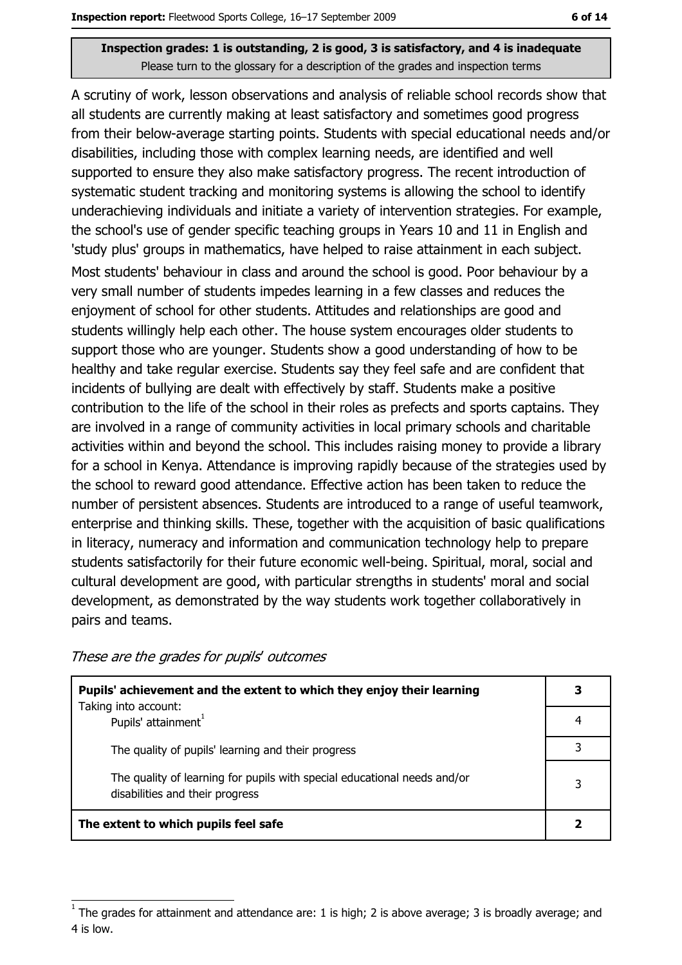A scrutiny of work, lesson observations and analysis of reliable school records show that all students are currently making at least satisfactory and sometimes good progress from their below-average starting points. Students with special educational needs and/or disabilities, including those with complex learning needs, are identified and well supported to ensure they also make satisfactory progress. The recent introduction of systematic student tracking and monitoring systems is allowing the school to identify underachieving individuals and initiate a variety of intervention strategies. For example, the school's use of gender specific teaching groups in Years 10 and 11 in English and 'study plus' groups in mathematics, have helped to raise attainment in each subject.

Most students' behaviour in class and around the school is good. Poor behaviour by a very small number of students impedes learning in a few classes and reduces the enjoyment of school for other students. Attitudes and relationships are good and students willingly help each other. The house system encourages older students to support those who are younger. Students show a good understanding of how to be healthy and take regular exercise. Students say they feel safe and are confident that incidents of bullying are dealt with effectively by staff. Students make a positive contribution to the life of the school in their roles as prefects and sports captains. They are involved in a range of community activities in local primary schools and charitable activities within and beyond the school. This includes raising money to provide a library for a school in Kenya. Attendance is improving rapidly because of the strategies used by the school to reward good attendance. Effective action has been taken to reduce the number of persistent absences. Students are introduced to a range of useful teamwork, enterprise and thinking skills. These, together with the acquisition of basic qualifications in literacy, numeracy and information and communication technology help to prepare students satisfactorily for their future economic well-being. Spiritual, moral, social and cultural development are good, with particular strengths in students' moral and social development, as demonstrated by the way students work together collaboratively in pairs and teams.

#### These are the grades for pupils' outcomes

| Pupils' achievement and the extent to which they enjoy their learning                                       |   |  |  |
|-------------------------------------------------------------------------------------------------------------|---|--|--|
| Taking into account:<br>Pupils' attainment <sup>1</sup>                                                     |   |  |  |
| The quality of pupils' learning and their progress                                                          |   |  |  |
| The quality of learning for pupils with special educational needs and/or<br>disabilities and their progress | 3 |  |  |
| The extent to which pupils feel safe                                                                        |   |  |  |

The grades for attainment and attendance are: 1 is high; 2 is above average; 3 is broadly average; and 4 is low.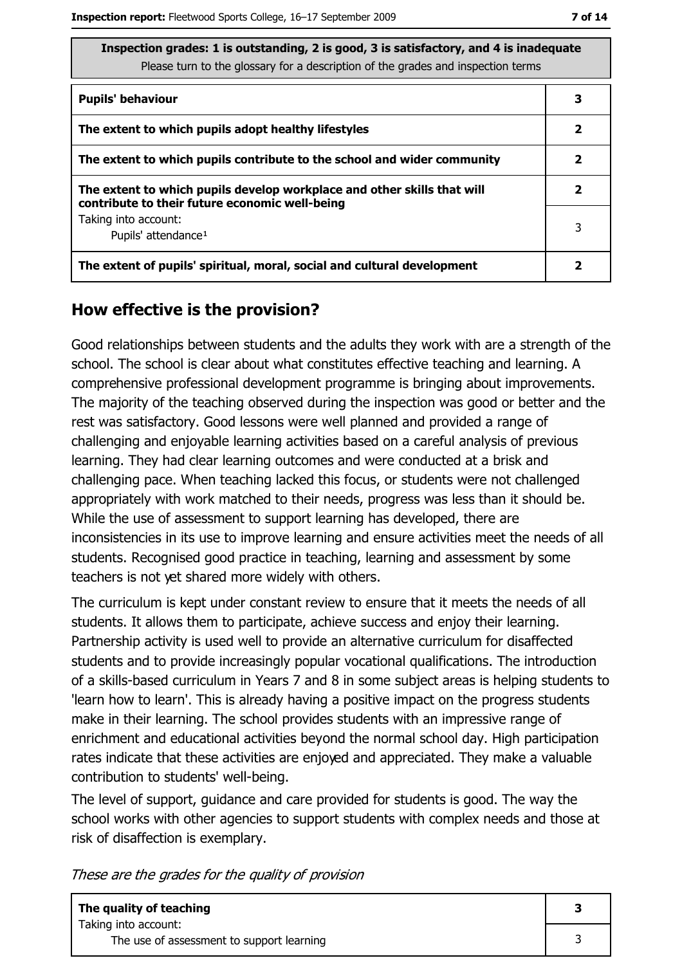ate

| Inspection grades: 1 is outstanding, 2 is good, 3 is satisfactory, and 4 is inadequa |
|--------------------------------------------------------------------------------------|
| Please turn to the glossary for a description of the grades and inspection terms     |

| <b>Pupils' behaviour</b>                                                                                                  | 3 |
|---------------------------------------------------------------------------------------------------------------------------|---|
| The extent to which pupils adopt healthy lifestyles                                                                       | 2 |
| The extent to which pupils contribute to the school and wider community                                                   | 2 |
| The extent to which pupils develop workplace and other skills that will<br>contribute to their future economic well-being | 2 |
| Taking into account:<br>Pupils' attendance <sup>1</sup>                                                                   | 3 |
| The extent of pupils' spiritual, moral, social and cultural development                                                   |   |

### How effective is the provision?

Good relationships between students and the adults they work with are a strength of the school. The school is clear about what constitutes effective teaching and learning. A comprehensive professional development programme is bringing about improvements. The majority of the teaching observed during the inspection was good or better and the rest was satisfactory. Good lessons were well planned and provided a range of challenging and enjoyable learning activities based on a careful analysis of previous learning. They had clear learning outcomes and were conducted at a brisk and challenging pace. When teaching lacked this focus, or students were not challenged appropriately with work matched to their needs, progress was less than it should be. While the use of assessment to support learning has developed, there are inconsistencies in its use to improve learning and ensure activities meet the needs of all students. Recognised good practice in teaching, learning and assessment by some teachers is not yet shared more widely with others.

The curriculum is kept under constant review to ensure that it meets the needs of all students. It allows them to participate, achieve success and enjoy their learning. Partnership activity is used well to provide an alternative curriculum for disaffected students and to provide increasingly popular vocational qualifications. The introduction of a skills-based curriculum in Years 7 and 8 in some subject areas is helping students to 'learn how to learn'. This is already having a positive impact on the progress students make in their learning. The school provides students with an impressive range of enrichment and educational activities beyond the normal school day. High participation rates indicate that these activities are enjoyed and appreciated. They make a valuable contribution to students' well-being.

The level of support, quidance and care provided for students is good. The way the school works with other agencies to support students with complex needs and those at risk of disaffection is exemplary.

These are the grades for the quality of provision

| The quality of teaching                   |  |
|-------------------------------------------|--|
| Taking into account:                      |  |
| The use of assessment to support learning |  |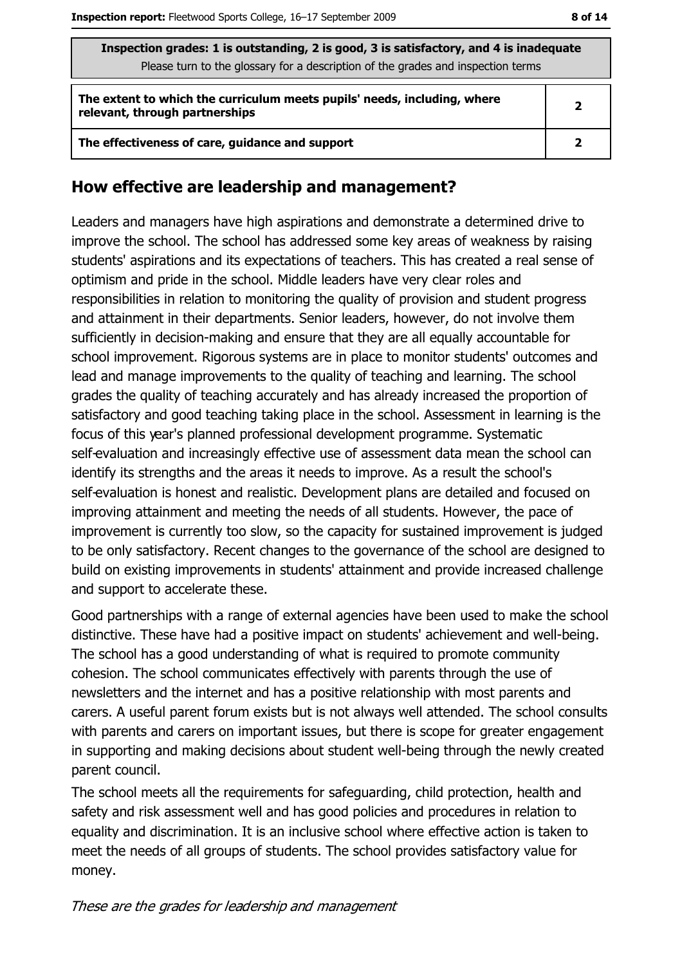| Inspection grades: 1 is outstanding, 2 is good, 3 is satisfactory, and 4 is inadequate                     |              |  |
|------------------------------------------------------------------------------------------------------------|--------------|--|
| Please turn to the glossary for a description of the grades and inspection terms                           |              |  |
| The extent to which the curriculum meets pupils' needs, including, where<br>relevant, through partnerships | $\mathbf{2}$ |  |
| The effectiveness of care, guidance and support                                                            |              |  |

### How effective are leadership and management?

Leaders and managers have high aspirations and demonstrate a determined drive to improve the school. The school has addressed some key areas of weakness by raising students' aspirations and its expectations of teachers. This has created a real sense of optimism and pride in the school. Middle leaders have very clear roles and responsibilities in relation to monitoring the quality of provision and student progress and attainment in their departments. Senior leaders, however, do not involve them sufficiently in decision-making and ensure that they are all equally accountable for school improvement. Rigorous systems are in place to monitor students' outcomes and lead and manage improvements to the quality of teaching and learning. The school grades the quality of teaching accurately and has already increased the proportion of satisfactory and good teaching taking place in the school. Assessment in learning is the focus of this year's planned professional development programme. Systematic self-evaluation and increasingly effective use of assessment data mean the school can identify its strengths and the areas it needs to improve. As a result the school's self-evaluation is honest and realistic. Development plans are detailed and focused on improving attainment and meeting the needs of all students. However, the pace of improvement is currently too slow, so the capacity for sustained improvement is judged to be only satisfactory. Recent changes to the governance of the school are designed to build on existing improvements in students' attainment and provide increased challenge and support to accelerate these.

Good partnerships with a range of external agencies have been used to make the school distinctive. These have had a positive impact on students' achievement and well-being. The school has a good understanding of what is required to promote community cohesion. The school communicates effectively with parents through the use of newsletters and the internet and has a positive relationship with most parents and carers. A useful parent forum exists but is not always well attended. The school consults with parents and carers on important issues, but there is scope for greater engagement in supporting and making decisions about student well-being through the newly created parent council.

The school meets all the requirements for safeguarding, child protection, health and safety and risk assessment well and has good policies and procedures in relation to equality and discrimination. It is an inclusive school where effective action is taken to meet the needs of all groups of students. The school provides satisfactory value for money.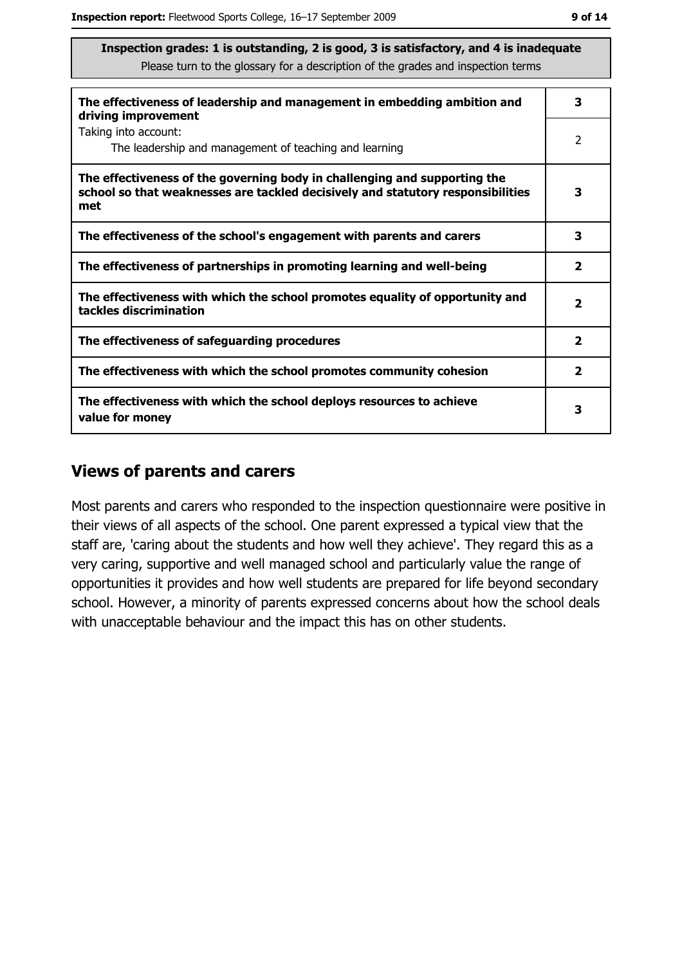| The effectiveness of leadership and management in embedding ambition and<br>driving improvement                                                                     |                         |  |
|---------------------------------------------------------------------------------------------------------------------------------------------------------------------|-------------------------|--|
| Taking into account:<br>The leadership and management of teaching and learning                                                                                      | 2                       |  |
| The effectiveness of the governing body in challenging and supporting the<br>school so that weaknesses are tackled decisively and statutory responsibilities<br>met | 3                       |  |
| The effectiveness of the school's engagement with parents and carers                                                                                                | 3                       |  |
| The effectiveness of partnerships in promoting learning and well-being                                                                                              | $\mathbf{2}$            |  |
| The effectiveness with which the school promotes equality of opportunity and<br>tackles discrimination                                                              | 2                       |  |
| The effectiveness of safeguarding procedures                                                                                                                        | $\overline{\mathbf{2}}$ |  |
| The effectiveness with which the school promotes community cohesion                                                                                                 | 2                       |  |
| The effectiveness with which the school deploys resources to achieve<br>value for money                                                                             | з                       |  |

### **Views of parents and carers**

Most parents and carers who responded to the inspection questionnaire were positive in their views of all aspects of the school. One parent expressed a typical view that the staff are, 'caring about the students and how well they achieve'. They regard this as a very caring, supportive and well managed school and particularly value the range of opportunities it provides and how well students are prepared for life beyond secondary school. However, a minority of parents expressed concerns about how the school deals with unacceptable behaviour and the impact this has on other students.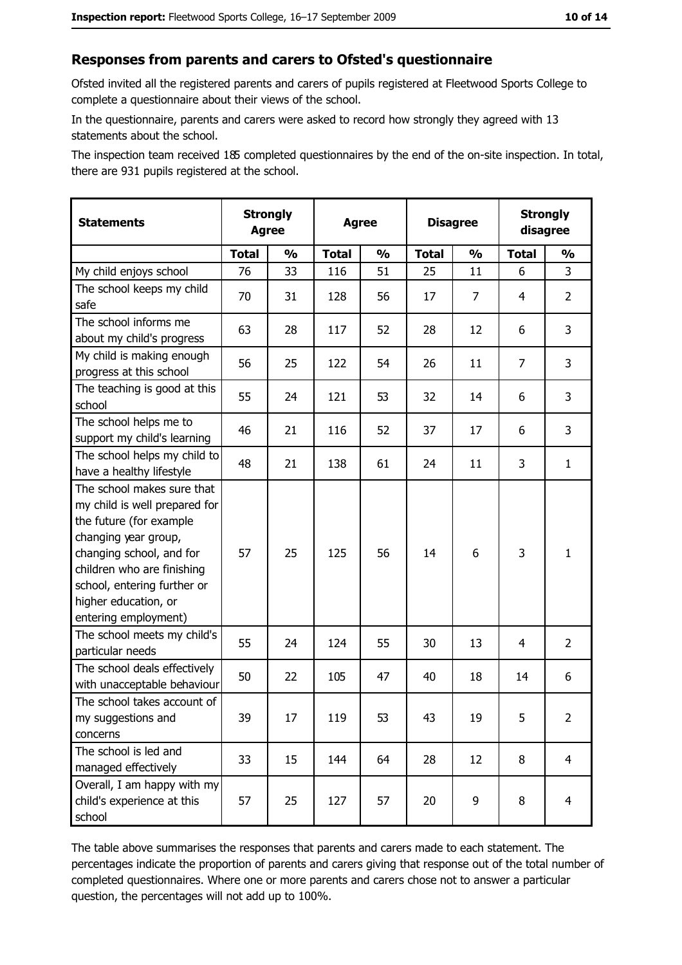#### Responses from parents and carers to Ofsted's questionnaire

Ofsted invited all the registered parents and carers of pupils registered at Fleetwood Sports College to complete a questionnaire about their views of the school.

In the questionnaire, parents and carers were asked to record how strongly they agreed with 13 statements about the school.

The inspection team received 185 completed questionnaires by the end of the on-site inspection. In total, there are 931 pupils registered at the school.

| <b>Statements</b>                                                                                                                                                                                                                                       | <b>Strongly</b><br><b>Agree</b> |               | <b>Agree</b> |               | <b>Disagree</b> |                | <b>Strongly</b><br>disagree |                |
|---------------------------------------------------------------------------------------------------------------------------------------------------------------------------------------------------------------------------------------------------------|---------------------------------|---------------|--------------|---------------|-----------------|----------------|-----------------------------|----------------|
|                                                                                                                                                                                                                                                         | <b>Total</b>                    | $\frac{1}{2}$ | <b>Total</b> | $\frac{1}{2}$ | <b>Total</b>    | $\frac{1}{2}$  | <b>Total</b>                | $\frac{1}{2}$  |
| My child enjoys school                                                                                                                                                                                                                                  | 76                              | 33            | 116          | 51            | 25              | 11             | 6                           | 3              |
| The school keeps my child<br>safe                                                                                                                                                                                                                       | 70                              | 31            | 128          | 56            | 17              | $\overline{7}$ | 4                           | $\overline{2}$ |
| The school informs me<br>about my child's progress                                                                                                                                                                                                      | 63                              | 28            | 117          | 52            | 28              | 12             | 6                           | 3              |
| My child is making enough<br>progress at this school                                                                                                                                                                                                    | 56                              | 25            | 122          | 54            | 26              | 11             | 7                           | 3              |
| The teaching is good at this<br>school                                                                                                                                                                                                                  | 55                              | 24            | 121          | 53            | 32              | 14             | 6                           | 3              |
| The school helps me to<br>support my child's learning                                                                                                                                                                                                   | 46                              | 21            | 116          | 52            | 37              | 17             | 6                           | 3              |
| The school helps my child to<br>have a healthy lifestyle                                                                                                                                                                                                | 48                              | 21            | 138          | 61            | 24              | 11             | 3                           | $\mathbf{1}$   |
| The school makes sure that<br>my child is well prepared for<br>the future (for example<br>changing year group,<br>changing school, and for<br>children who are finishing<br>school, entering further or<br>higher education, or<br>entering employment) | 57                              | 25            | 125          | 56            | 14              | 6              | 3                           | $\mathbf{1}$   |
| The school meets my child's<br>particular needs                                                                                                                                                                                                         | 55                              | 24            | 124          | 55            | 30              | 13             | 4                           | $\overline{2}$ |
| The school deals effectively<br>with unacceptable behaviour                                                                                                                                                                                             | 50                              | 22            | 105          | 47            | 40              | 18             | 14                          | 6              |
| The school takes account of<br>my suggestions and<br>concerns                                                                                                                                                                                           | 39                              | 17            | 119          | 53            | 43              | 19             | 5                           | $\overline{2}$ |
| The school is led and<br>managed effectively                                                                                                                                                                                                            | 33                              | 15            | 144          | 64            | 28              | 12             | 8                           | $\overline{4}$ |
| Overall, I am happy with my<br>child's experience at this<br>school                                                                                                                                                                                     | 57                              | 25            | 127          | 57            | 20              | 9              | 8                           | $\overline{4}$ |

The table above summarises the responses that parents and carers made to each statement. The percentages indicate the proportion of parents and carers giving that response out of the total number of completed questionnaires. Where one or more parents and carers chose not to answer a particular question, the percentages will not add up to 100%.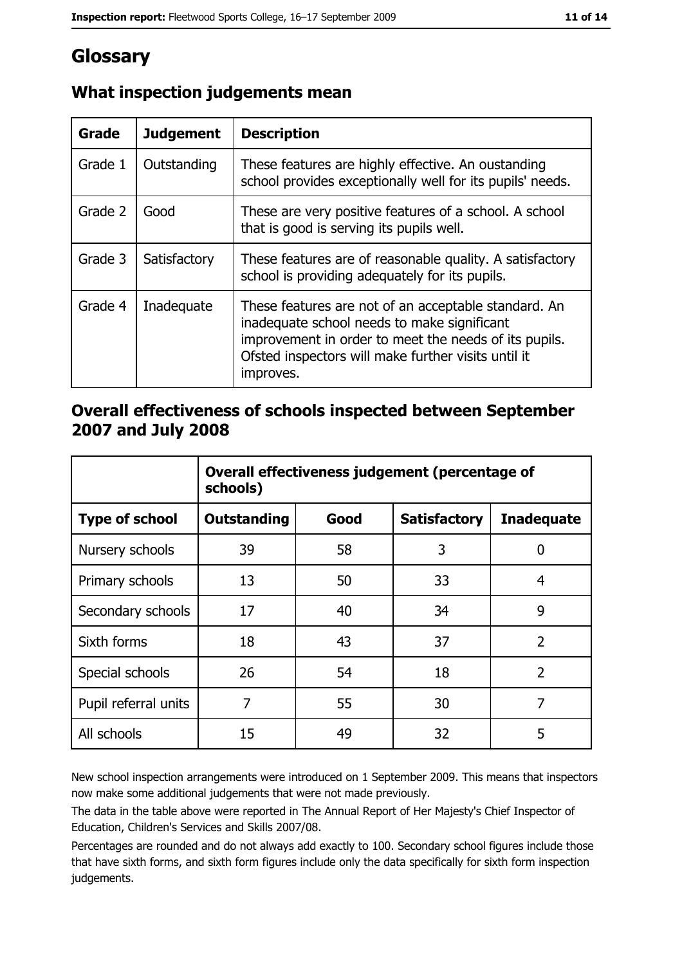# Glossary

| Grade   | <b>Judgement</b> | <b>Description</b>                                                                                                                                                                                                               |
|---------|------------------|----------------------------------------------------------------------------------------------------------------------------------------------------------------------------------------------------------------------------------|
| Grade 1 | Outstanding      | These features are highly effective. An oustanding<br>school provides exceptionally well for its pupils' needs.                                                                                                                  |
| Grade 2 | Good             | These are very positive features of a school. A school<br>that is good is serving its pupils well.                                                                                                                               |
| Grade 3 | Satisfactory     | These features are of reasonable quality. A satisfactory<br>school is providing adequately for its pupils.                                                                                                                       |
| Grade 4 | Inadequate       | These features are not of an acceptable standard. An<br>inadequate school needs to make significant<br>improvement in order to meet the needs of its pupils.<br>Ofsted inspectors will make further visits until it<br>improves. |

# What inspection judgements mean

### Overall effectiveness of schools inspected between September 2007 and July 2008

|                       | Overall effectiveness judgement (percentage of<br>schools) |      |                     |                   |
|-----------------------|------------------------------------------------------------|------|---------------------|-------------------|
| <b>Type of school</b> | Outstanding                                                | Good | <b>Satisfactory</b> | <b>Inadequate</b> |
| Nursery schools       | 39                                                         | 58   | 3                   | 0                 |
| Primary schools       | 13                                                         | 50   | 33                  | 4                 |
| Secondary schools     | 17                                                         | 40   | 34                  | 9                 |
| Sixth forms           | 18                                                         | 43   | 37                  | $\overline{2}$    |
| Special schools       | 26                                                         | 54   | 18                  | $\overline{2}$    |
| Pupil referral units  | 7                                                          | 55   | 30                  | 7                 |
| All schools           | 15                                                         | 49   | 32                  | 5                 |

New school inspection arrangements were introduced on 1 September 2009. This means that inspectors now make some additional judgements that were not made previously.

The data in the table above were reported in The Annual Report of Her Majesty's Chief Inspector of Education, Children's Services and Skills 2007/08.

Percentages are rounded and do not always add exactly to 100. Secondary school figures include those that have sixth forms, and sixth form figures include only the data specifically for sixth form inspection judgements.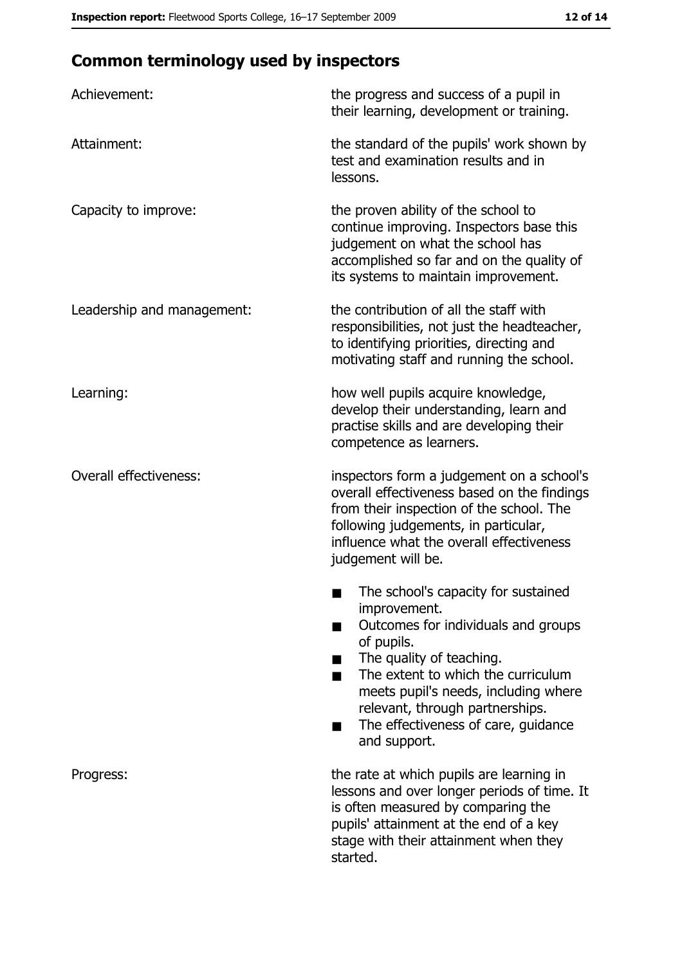# **Common terminology used by inspectors**

| Achievement:                  | the progress and success of a pupil in<br>their learning, development or training.                                                                                                                                                                                                                           |
|-------------------------------|--------------------------------------------------------------------------------------------------------------------------------------------------------------------------------------------------------------------------------------------------------------------------------------------------------------|
| Attainment:                   | the standard of the pupils' work shown by<br>test and examination results and in<br>lessons.                                                                                                                                                                                                                 |
| Capacity to improve:          | the proven ability of the school to<br>continue improving. Inspectors base this<br>judgement on what the school has<br>accomplished so far and on the quality of<br>its systems to maintain improvement.                                                                                                     |
| Leadership and management:    | the contribution of all the staff with<br>responsibilities, not just the headteacher,<br>to identifying priorities, directing and<br>motivating staff and running the school.                                                                                                                                |
| Learning:                     | how well pupils acquire knowledge,<br>develop their understanding, learn and<br>practise skills and are developing their<br>competence as learners.                                                                                                                                                          |
| <b>Overall effectiveness:</b> | inspectors form a judgement on a school's<br>overall effectiveness based on the findings<br>from their inspection of the school. The<br>following judgements, in particular,<br>influence what the overall effectiveness<br>judgement will be.                                                               |
|                               | The school's capacity for sustained<br>improvement.<br>Outcomes for individuals and groups<br>of pupils.<br>The quality of teaching.<br>The extent to which the curriculum<br>meets pupil's needs, including where<br>relevant, through partnerships.<br>The effectiveness of care, guidance<br>and support. |
| Progress:                     | the rate at which pupils are learning in<br>lessons and over longer periods of time. It<br>is often measured by comparing the<br>pupils' attainment at the end of a key<br>stage with their attainment when they<br>started.                                                                                 |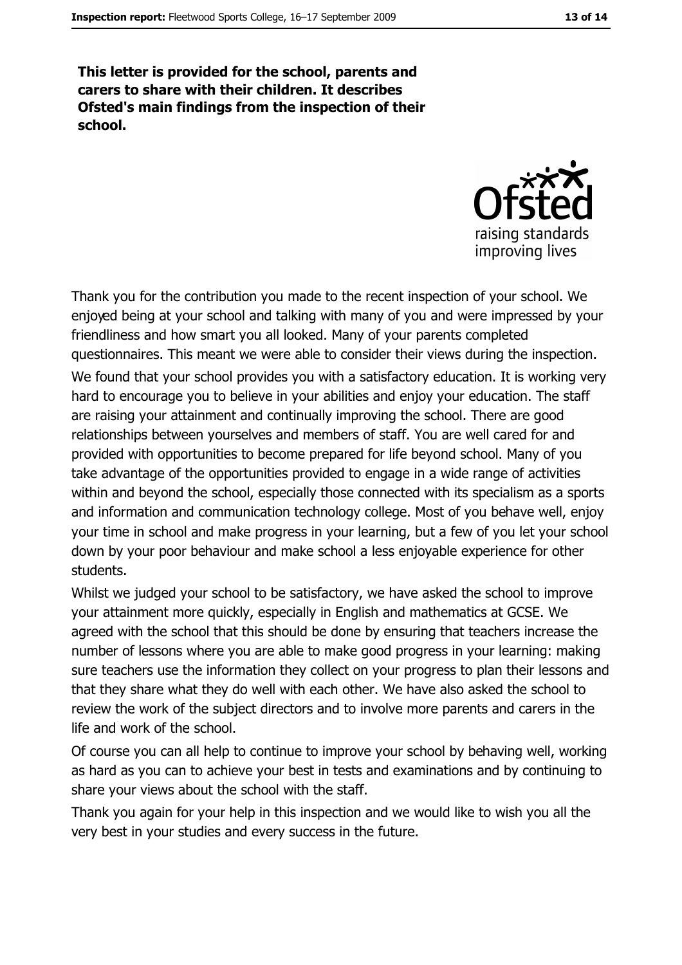This letter is provided for the school, parents and carers to share with their children. It describes Ofsted's main findings from the inspection of their school.



Thank you for the contribution you made to the recent inspection of your school. We enjoyed being at your school and talking with many of you and were impressed by your friendliness and how smart you all looked. Many of your parents completed questionnaires. This meant we were able to consider their views during the inspection. We found that your school provides you with a satisfactory education. It is working very hard to encourage you to believe in your abilities and enjoy your education. The staff are raising your attainment and continually improving the school. There are good relationships between yourselves and members of staff. You are well cared for and provided with opportunities to become prepared for life beyond school. Many of you take advantage of the opportunities provided to engage in a wide range of activities within and beyond the school, especially those connected with its specialism as a sports and information and communication technology college. Most of you behave well, enjoy your time in school and make progress in your learning, but a few of you let your school down by your poor behaviour and make school a less enjoyable experience for other students.

Whilst we judged your school to be satisfactory, we have asked the school to improve your attainment more quickly, especially in English and mathematics at GCSE. We agreed with the school that this should be done by ensuring that teachers increase the number of lessons where you are able to make good progress in your learning: making sure teachers use the information they collect on your progress to plan their lessons and that they share what they do well with each other. We have also asked the school to review the work of the subject directors and to involve more parents and carers in the life and work of the school.

Of course you can all help to continue to improve your school by behaving well, working as hard as you can to achieve your best in tests and examinations and by continuing to share your views about the school with the staff.

Thank you again for your help in this inspection and we would like to wish you all the very best in your studies and every success in the future.